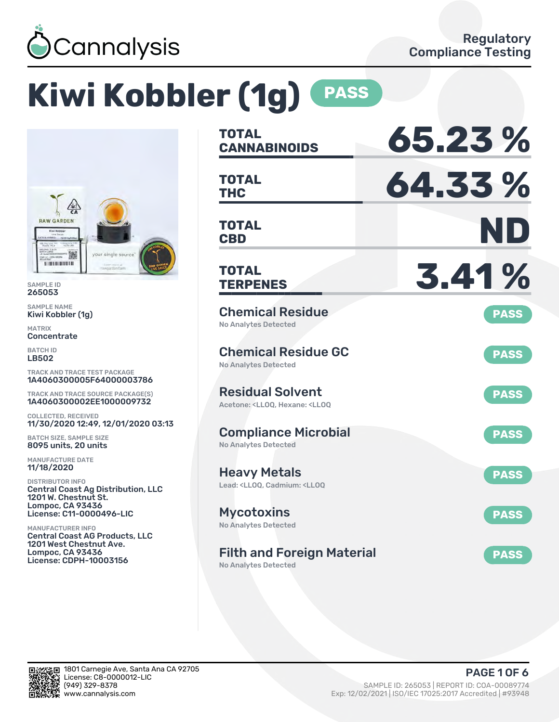

# **Kiwi Kobbler (1g) PASS**



SAMPLE ID 265053

SAMPLE NAME Kiwi Kobbler (1g)

MATRIX **Concentrate** 

BATCH ID LB502

TRACK AND TRACE TEST PACKAGE 1A4060300005F64000003786

TRACK AND TRACE SOURCE PACKAGE(S) 1A4060300002EE1000009732

COLLECTED, RECEIVED 11/30/2020 12:49, 12/01/2020 03:13

BATCH SIZE, SAMPLE SIZE 8095 units, 20 units

MANUFACTURE DATE 11/18/2020

DISTRIBUTOR INFO Central Coast Ag Distribution, LLC 1201 W. Chestnut St. Lompoc, CA 93436 License: C11-0000496-LIC

MANUFACTURER INFO Central Coast AG Products, LLC 1201 West Chestnut Ave. Lompoc, CA 93436 License: CDPH-10003156

| TOTAL<br><b>CANNABINOIDS</b>                                                                       | 65.23%      |
|----------------------------------------------------------------------------------------------------|-------------|
| <b>TOTAL</b><br>THC                                                                                | 64.33%      |
| <b>TOTAL</b><br><b>CBD</b>                                                                         | ND          |
| TOTAL<br><b>TERPENES</b>                                                                           | 3.41%       |
| <b>Chemical Residue</b><br><b>No Analytes Detected</b>                                             | <b>PASS</b> |
| <b>Chemical Residue GC</b><br><b>No Analytes Detected</b>                                          | <b>PASS</b> |
| <b>Residual Solvent</b><br>Acetone: <ll00. <ll00<="" hexane:="" td=""><td><b>PASS</b></td></ll00.> | <b>PASS</b> |
| <b>Compliance Microbial</b><br>No Analytes Detected                                                | <b>PASS</b> |
| <b>Heavy Metals</b><br>Lead: <ll00. <ll00<="" cadmium:="" td=""><td><b>PASS</b></td></ll00.>       | <b>PASS</b> |
| <b>Mycotoxins</b><br>No Analytes Detected                                                          | <b>PASS</b> |
| <b>Filth and Foreign Material</b>                                                                  | <b>PASS</b> |

No Analytes Detected

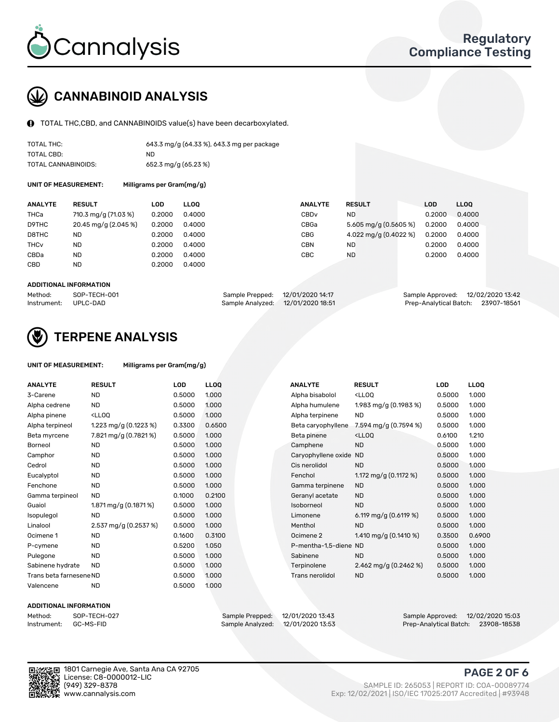

### CANNABINOID ANALYSIS

TOTAL THC,CBD, and CANNABINOIDS value(s) have been decarboxylated.

| TOTAL THC:          | 643.3 mg/g (64.33 %), 643.3 mg per package |
|---------------------|--------------------------------------------|
| TOTAL CBD:          | ND.                                        |
| TOTAL CANNABINOIDS: | 652.3 mg/g (65.23 %)                       |

UNIT OF MEASUREMENT:

| Milligrams per Gram(mg/g) |  |  |  |
|---------------------------|--|--|--|
|---------------------------|--|--|--|

| <b>ANALYTE</b>         | <b>RESULT</b>        | LOD    | <b>LLOO</b> | <b>ANALYTE</b>   | <b>RESULT</b>                      | <b>LOD</b> | <b>LLOO</b> |
|------------------------|----------------------|--------|-------------|------------------|------------------------------------|------------|-------------|
| THCa                   | 710.3 mg/g (71.03 %) | 0.2000 | 0.4000      | CBD <sub>v</sub> | <b>ND</b>                          | 0.2000     | 0.4000      |
| D9THC                  | 20.45 mg/g (2.045 %) | 0.2000 | 0.4000      | CBGa             | $5.605 \,\mathrm{mq/q}$ (0.5605 %) | 0.2000     | 0.4000      |
| D8THC                  | ND                   | 0.2000 | 0.4000      | <b>CBG</b>       | 4.022 mg/g $(0.4022 \%)$           | 0.2000     | 0.4000      |
| <b>THC<sub>v</sub></b> | <b>ND</b>            | 0.2000 | 0.4000      | <b>CBN</b>       | <b>ND</b>                          | 0.2000     | 0.4000      |
| CBDa                   | <b>ND</b>            | 0.2000 | 0.4000      | CBC              | <b>ND</b>                          | 0.2000     | 0.4000      |
| CBD                    | <b>ND</b>            | 0.2000 | 0.4000      |                  |                                    |            |             |
|                        |                      |        |             |                  |                                    |            |             |

#### ADDITIONAL INFORMATION

| Method:              | SOP-TECH-001 | Sample Prepped: 12/01/2020 14:17  | Sample Approved: 12/02/2020 13:42  |  |
|----------------------|--------------|-----------------------------------|------------------------------------|--|
| Instrument: UPLC-DAD |              | Sample Analyzed: 12/01/2020 18:51 | Prep-Analytical Batch: 23907-18561 |  |



### TERPENE ANALYSIS

| UNIT OF MEASUREMENT: | Milligrams per Gram(mg/g) |
|----------------------|---------------------------|
|----------------------|---------------------------|

| <b>ANALYTE</b>          | <b>RESULT</b>                                                                                                                      | <b>LOD</b> | LL <sub>OO</sub> |  | <b>ANALYTE</b>         | <b>RESULT</b>                                      | <b>LOD</b> | <b>LLOQ</b> |
|-------------------------|------------------------------------------------------------------------------------------------------------------------------------|------------|------------------|--|------------------------|----------------------------------------------------|------------|-------------|
| 3-Carene                | <b>ND</b>                                                                                                                          | 0.5000     | 1.000            |  | Alpha bisabolol        | <ll0q< td=""><td>0.5000</td><td>1.000</td></ll0q<> | 0.5000     | 1.000       |
| Alpha cedrene           | <b>ND</b>                                                                                                                          | 0.5000     | 1.000            |  | Alpha humulene         | 1.983 mg/g (0.1983 %)                              | 0.5000     | 1.000       |
| Alpha pinene            | <ll0q< td=""><td>0.5000</td><td>1.000</td><td></td><td>Alpha terpinene</td><td><b>ND</b></td><td>0.5000</td><td>1.000</td></ll0q<> | 0.5000     | 1.000            |  | Alpha terpinene        | <b>ND</b>                                          | 0.5000     | 1.000       |
| Alpha terpineol         | 1.223 mg/g $(0.1223 \%)$                                                                                                           | 0.3300     | 0.6500           |  | Beta caryophyllene     | 7.594 mg/g (0.7594 %)                              | 0.5000     | 1.000       |
| Beta myrcene            | 7.821 mg/g (0.7821%)                                                                                                               | 0.5000     | 1.000            |  | Beta pinene            | <ll0q< td=""><td>0.6100</td><td>1.210</td></ll0q<> | 0.6100     | 1.210       |
| Borneol                 | <b>ND</b>                                                                                                                          | 0.5000     | 1.000            |  | Camphene               | <b>ND</b>                                          | 0.5000     | 1.000       |
| Camphor                 | <b>ND</b>                                                                                                                          | 0.5000     | 1.000            |  | Caryophyllene oxide ND |                                                    | 0.5000     | 1.000       |
| Cedrol                  | <b>ND</b>                                                                                                                          | 0.5000     | 1.000            |  | Cis nerolidol          | <b>ND</b>                                          | 0.5000     | 1.000       |
| Eucalyptol              | <b>ND</b>                                                                                                                          | 0.5000     | 1.000            |  | Fenchol                | 1.172 mg/g $(0.1172 \%)$                           | 0.5000     | 1.000       |
| Fenchone                | <b>ND</b>                                                                                                                          | 0.5000     | 1.000            |  | Gamma terpinene        | <b>ND</b>                                          | 0.5000     | 1.000       |
| Gamma terpineol         | <b>ND</b>                                                                                                                          | 0.1000     | 0.2100           |  | Geranyl acetate        | <b>ND</b>                                          | 0.5000     | 1.000       |
| Guaiol                  | 1.871 mg/g (0.1871 %)                                                                                                              | 0.5000     | 1.000            |  | Isoborneol             | <b>ND</b>                                          | 0.5000     | 1.000       |
| Isopulegol              | <b>ND</b>                                                                                                                          | 0.5000     | 1.000            |  | Limonene               | 6.119 mg/g $(0.6119%)$                             | 0.5000     | 1.000       |
| Linalool                | 2.537 mg/g (0.2537 %)                                                                                                              | 0.5000     | 1.000            |  | Menthol                | <b>ND</b>                                          | 0.5000     | 1.000       |
| Ocimene 1               | <b>ND</b>                                                                                                                          | 0.1600     | 0.3100           |  | Ocimene 2              | 1.410 mg/g $(0.1410 \%)$                           | 0.3500     | 0.6900      |
| P-cymene                | <b>ND</b>                                                                                                                          | 0.5200     | 1.050            |  | P-mentha-1,5-diene ND  |                                                    | 0.5000     | 1.000       |
| Pulegone                | <b>ND</b>                                                                                                                          | 0.5000     | 1.000            |  | Sabinene               | <b>ND</b>                                          | 0.5000     | 1.000       |
| Sabinene hydrate        | <b>ND</b>                                                                                                                          | 0.5000     | 1.000            |  | Terpinolene            | 2.462 mg/g $(0.2462\%)$                            | 0.5000     | 1.000       |
| Trans beta farnesene ND |                                                                                                                                    | 0.5000     | 1.000            |  | Trans nerolidol        | <b>ND</b>                                          | 0.5000     | 1.000       |
| Valencene               | <b>ND</b>                                                                                                                          | 0.5000     | 1.000            |  |                        |                                                    |            |             |

#### ADDITIONAL INFORMATION



Method: SOP-TECH-027 Sample Prepped: 12/01/2020 13:43 Sample Approved: 12/02/2020 15:03 Prep-Analytical Batch: 23908-18538

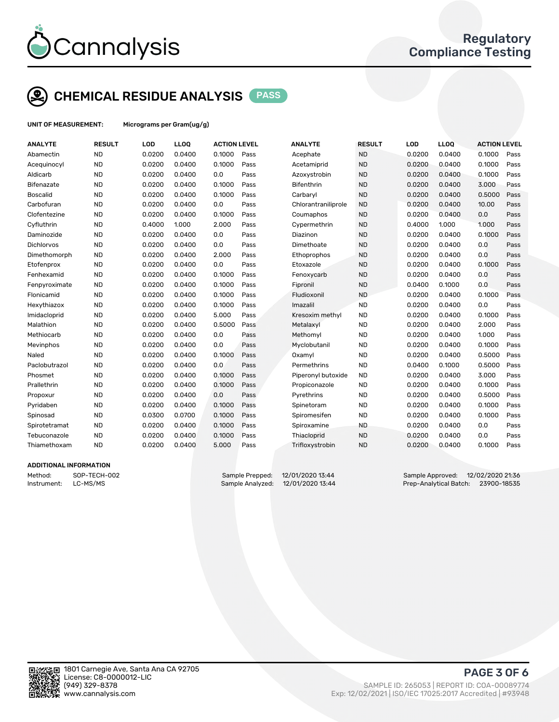

### CHEMICAL RESIDUE ANALYSIS PASS

UNIT OF MEASUREMENT: Micrograms per Gram(ug/g)

| <b>ANALYTE</b>    | <b>RESULT</b> | LOD    | <b>LLOQ</b> | <b>ACTION LEVEL</b> |      | <b>ANALYTE</b>      | <b>RESULT</b> | LOD    | <b>LLOQ</b> | <b>ACTION LEVEL</b> |      |
|-------------------|---------------|--------|-------------|---------------------|------|---------------------|---------------|--------|-------------|---------------------|------|
| Abamectin         | <b>ND</b>     | 0.0200 | 0.0400      | 0.1000              | Pass | Acephate            | <b>ND</b>     | 0.0200 | 0.0400      | 0.1000              | Pass |
| Acequinocyl       | <b>ND</b>     | 0.0200 | 0.0400      | 0.1000              | Pass | Acetamiprid         | <b>ND</b>     | 0.0200 | 0.0400      | 0.1000              | Pass |
| Aldicarb          | <b>ND</b>     | 0.0200 | 0.0400      | 0.0                 | Pass | Azoxystrobin        | <b>ND</b>     | 0.0200 | 0.0400      | 0.1000              | Pass |
| <b>Bifenazate</b> | <b>ND</b>     | 0.0200 | 0.0400      | 0.1000              | Pass | <b>Bifenthrin</b>   | <b>ND</b>     | 0.0200 | 0.0400      | 3.000               | Pass |
| <b>Boscalid</b>   | <b>ND</b>     | 0.0200 | 0.0400      | 0.1000              | Pass | Carbaryl            | <b>ND</b>     | 0.0200 | 0.0400      | 0.5000              | Pass |
| Carbofuran        | <b>ND</b>     | 0.0200 | 0.0400      | 0.0                 | Pass | Chlorantraniliprole | <b>ND</b>     | 0.0200 | 0.0400      | 10.00               | Pass |
| Clofentezine      | <b>ND</b>     | 0.0200 | 0.0400      | 0.1000              | Pass | Coumaphos           | <b>ND</b>     | 0.0200 | 0.0400      | 0.0                 | Pass |
| Cyfluthrin        | <b>ND</b>     | 0.4000 | 1.000       | 2.000               | Pass | Cypermethrin        | <b>ND</b>     | 0.4000 | 1.000       | 1.000               | Pass |
| Daminozide        | <b>ND</b>     | 0.0200 | 0.0400      | 0.0                 | Pass | Diazinon            | <b>ND</b>     | 0.0200 | 0.0400      | 0.1000              | Pass |
| <b>Dichlorvos</b> | <b>ND</b>     | 0.0200 | 0.0400      | 0.0                 | Pass | Dimethoate          | <b>ND</b>     | 0.0200 | 0.0400      | 0.0                 | Pass |
| Dimethomorph      | <b>ND</b>     | 0.0200 | 0.0400      | 2.000               | Pass | Ethoprophos         | <b>ND</b>     | 0.0200 | 0.0400      | 0.0                 | Pass |
| Etofenprox        | <b>ND</b>     | 0.0200 | 0.0400      | 0.0                 | Pass | Etoxazole           | <b>ND</b>     | 0.0200 | 0.0400      | 0.1000              | Pass |
| Fenhexamid        | <b>ND</b>     | 0.0200 | 0.0400      | 0.1000              | Pass | Fenoxycarb          | <b>ND</b>     | 0.0200 | 0.0400      | 0.0                 | Pass |
| Fenpyroximate     | <b>ND</b>     | 0.0200 | 0.0400      | 0.1000              | Pass | Fipronil            | <b>ND</b>     | 0.0400 | 0.1000      | 0.0                 | Pass |
| Flonicamid        | <b>ND</b>     | 0.0200 | 0.0400      | 0.1000              | Pass | Fludioxonil         | <b>ND</b>     | 0.0200 | 0.0400      | 0.1000              | Pass |
| Hexythiazox       | <b>ND</b>     | 0.0200 | 0.0400      | 0.1000              | Pass | Imazalil            | <b>ND</b>     | 0.0200 | 0.0400      | 0.0                 | Pass |
| Imidacloprid      | <b>ND</b>     | 0.0200 | 0.0400      | 5.000               | Pass | Kresoxim methyl     | <b>ND</b>     | 0.0200 | 0.0400      | 0.1000              | Pass |
| Malathion         | <b>ND</b>     | 0.0200 | 0.0400      | 0.5000              | Pass | Metalaxyl           | <b>ND</b>     | 0.0200 | 0.0400      | 2.000               | Pass |
| Methiocarb        | <b>ND</b>     | 0.0200 | 0.0400      | 0.0                 | Pass | Methomyl            | <b>ND</b>     | 0.0200 | 0.0400      | 1.000               | Pass |
| Mevinphos         | <b>ND</b>     | 0.0200 | 0.0400      | 0.0                 | Pass | Myclobutanil        | <b>ND</b>     | 0.0200 | 0.0400      | 0.1000              | Pass |
| Naled             | <b>ND</b>     | 0.0200 | 0.0400      | 0.1000              | Pass | Oxamyl              | <b>ND</b>     | 0.0200 | 0.0400      | 0.5000              | Pass |
| Paclobutrazol     | <b>ND</b>     | 0.0200 | 0.0400      | 0.0                 | Pass | Permethrins         | <b>ND</b>     | 0.0400 | 0.1000      | 0.5000              | Pass |
| Phosmet           | <b>ND</b>     | 0.0200 | 0.0400      | 0.1000              | Pass | Piperonyl butoxide  | <b>ND</b>     | 0.0200 | 0.0400      | 3.000               | Pass |
| Prallethrin       | <b>ND</b>     | 0.0200 | 0.0400      | 0.1000              | Pass | Propiconazole       | <b>ND</b>     | 0.0200 | 0.0400      | 0.1000              | Pass |
| Propoxur          | <b>ND</b>     | 0.0200 | 0.0400      | 0.0                 | Pass | Pyrethrins          | <b>ND</b>     | 0.0200 | 0.0400      | 0.5000              | Pass |
| Pyridaben         | <b>ND</b>     | 0.0200 | 0.0400      | 0.1000              | Pass | Spinetoram          | <b>ND</b>     | 0.0200 | 0.0400      | 0.1000              | Pass |
| Spinosad          | <b>ND</b>     | 0.0300 | 0.0700      | 0.1000              | Pass | Spiromesifen        | <b>ND</b>     | 0.0200 | 0.0400      | 0.1000              | Pass |
| Spirotetramat     | <b>ND</b>     | 0.0200 | 0.0400      | 0.1000              | Pass | Spiroxamine         | <b>ND</b>     | 0.0200 | 0.0400      | 0.0                 | Pass |
| Tebuconazole      | <b>ND</b>     | 0.0200 | 0.0400      | 0.1000              | Pass | Thiacloprid         | <b>ND</b>     | 0.0200 | 0.0400      | 0.0                 | Pass |
| Thiamethoxam      | <b>ND</b>     | 0.0200 | 0.0400      | 5.000               | Pass | Trifloxystrobin     | <b>ND</b>     | 0.0200 | 0.0400      | 0.1000              | Pass |
|                   |               |        |             |                     |      |                     |               |        |             |                     |      |

### ADDITIONAL INFORMATION

Method: SOP-TECH-002 Sample Prepped: 12/01/2020 13:44 Sample Approved: 12/02/2020 21:36 Instrument: LC-MS/MS COMEXANDER Sample Analyzed: 12/01/2020 13:44 Prep-Analytical Batch: 23900-18535



PAGE 3 OF 6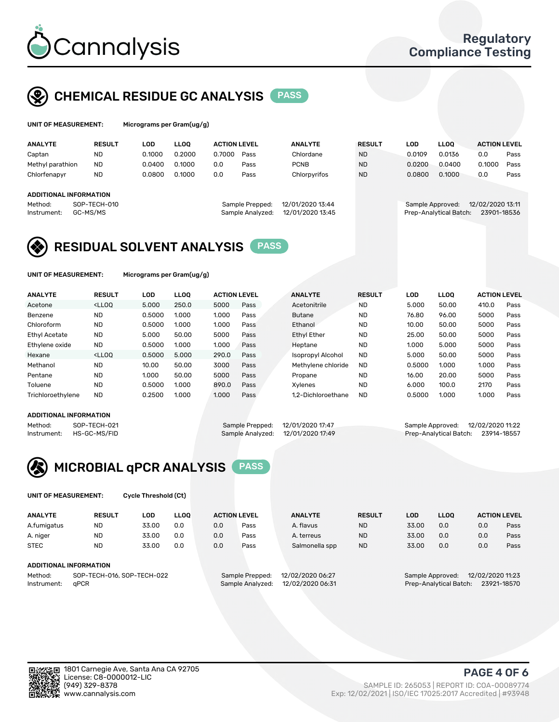

### CHEMICAL RESIDUE GC ANALYSIS PASS

| UNIT OF MEASUREMENT: | Micrograms per Gram(ug/g) |
|----------------------|---------------------------|
|                      |                           |

| <b>ANALYTE</b>         | <b>RESULT</b> | LOD    | <b>LLOO</b> | <b>ACTION LEVEL</b> |      | <b>ANALYTE</b> | <b>RESULT</b> | LOD    | <b>LLOO</b> | <b>ACTION LEVEL</b> |      |
|------------------------|---------------|--------|-------------|---------------------|------|----------------|---------------|--------|-------------|---------------------|------|
| Captan                 | <b>ND</b>     | 0.1000 | 0.2000      | 0.7000              | Pass | Chlordane      | <b>ND</b>     | 0.0109 | 0.0136      | 0.0                 | Pass |
| Methyl parathion       | <b>ND</b>     | 0.0400 | 0.1000      | 0.0                 | Pass | <b>PCNB</b>    | <b>ND</b>     | 0.0200 | 0.0400      | 0.1000              | Pass |
| Chlorfenapyr           | <b>ND</b>     | 0.0800 | 0.1000      | 0.0                 | Pass | Chlorpyrifos   | <b>ND</b>     | 0.0800 | 0.1000      | 0.0                 | Pass |
|                        |               |        |             |                     |      |                |               |        |             |                     |      |
| ADDITIONAL INFORMATION |               |        |             |                     |      |                |               |        |             |                     |      |

### ADDITIONAL INFORMATION

Instrument: GC-MS/MS Sample Analyzed: 12/01/2020 13:45 Prep-Analytical Batch: 23901-18536

| eppea:  | 12/01/2020 15:44 |  |
|---------|------------------|--|
| alyzed: | 12/01/2020 13:45 |  |
|         |                  |  |

Method: SOP-TECH-010 Sample Prepped: 12/01/2020 13:44 Sample Approved: 12/02/2020 13:11



UNIT OF MEASUREMENT: Micrograms per Gram(ug/g)

| <b>ANALYTE</b>       | <b>RESULT</b>                                                                                                                                                                          | LOD    | <b>LLOO</b> | <b>ACTION LEVEL</b> |      | <b>ANALYTE</b>           | <b>RESULT</b> | LOD    | <b>LLOO</b> | <b>ACTION LEVEL</b> |      |
|----------------------|----------------------------------------------------------------------------------------------------------------------------------------------------------------------------------------|--------|-------------|---------------------|------|--------------------------|---------------|--------|-------------|---------------------|------|
| Acetone              | <lloo< td=""><td>5.000</td><td>250.0</td><td>5000</td><td>Pass</td><td>Acetonitrile</td><td>ND</td><td>5.000</td><td>50.00</td><td>410.0</td><td>Pass</td></lloo<>                     | 5.000  | 250.0       | 5000                | Pass | Acetonitrile             | ND            | 5.000  | 50.00       | 410.0               | Pass |
| Benzene              | <b>ND</b>                                                                                                                                                                              | 0.5000 | 1.000       | 1.000               | Pass | <b>Butane</b>            | <b>ND</b>     | 76.80  | 96.00       | 5000                | Pass |
| Chloroform           | <b>ND</b>                                                                                                                                                                              | 0.5000 | 1.000       | 1.000               | Pass | Ethanol                  | <b>ND</b>     | 10.00  | 50.00       | 5000                | Pass |
| <b>Ethyl Acetate</b> | <b>ND</b>                                                                                                                                                                              | 5.000  | 50.00       | 5000                | Pass | <b>Ethyl Ether</b>       | <b>ND</b>     | 25.00  | 50.00       | 5000                | Pass |
| Ethylene oxide       | <b>ND</b>                                                                                                                                                                              | 0.5000 | 1.000       | 1.000               | Pass | Heptane                  | <b>ND</b>     | 1.000  | 5.000       | 5000                | Pass |
| Hexane               | <lloo< td=""><td>0.5000</td><td>5.000</td><td>290.0</td><td>Pass</td><td><b>Isopropyl Alcohol</b></td><td><b>ND</b></td><td>5.000</td><td>50.00</td><td>5000</td><td>Pass</td></lloo<> | 0.5000 | 5.000       | 290.0               | Pass | <b>Isopropyl Alcohol</b> | <b>ND</b>     | 5.000  | 50.00       | 5000                | Pass |
| Methanol             | <b>ND</b>                                                                                                                                                                              | 10.00  | 50.00       | 3000                | Pass | Methylene chloride       | <b>ND</b>     | 0.5000 | 1.000       | 1.000               | Pass |
| Pentane              | <b>ND</b>                                                                                                                                                                              | 1.000  | 50.00       | 5000                | Pass | Propane                  | <b>ND</b>     | 16.00  | 20.00       | 5000                | Pass |
| Toluene              | <b>ND</b>                                                                                                                                                                              | 0.5000 | 1.000       | 890.0               | Pass | Xvlenes                  | <b>ND</b>     | 6.000  | 100.0       | 2170                | Pass |
| Trichloroethylene    | <b>ND</b>                                                                                                                                                                              | 0.2500 | 1.000       | 1.000               | Pass | 1.2-Dichloroethane       | <b>ND</b>     | 0.5000 | 1.000       | 1.000               | Pass |
|                      |                                                                                                                                                                                        |        |             |                     |      |                          |               |        |             |                     |      |

#### ADDITIONAL INFORMATION

Method: SOP-TECH-021 Sample Prepped: 12/01/2020 17:47 Sample Approved: 12/02/2020 11:22<br>Instrument: HS-GC-MS/FID Sample Analyzed: 12/01/2020 17:49 Prep-Analytical Batch: 23914-18557 Prep-Analytical Batch: 23914-18557



UNIT OF MEASUREMENT: Cycle Threshold (Ct)

| <b>ANALYTE</b> | <b>RESULT</b>              | LOD   | <b>LLOO</b> | <b>ACTION LEVEL</b> |                  | <b>ANALYTE</b> | <b>RESULT</b> | LOD              | <b>LLOO</b>      |     | <b>ACTION LEVEL</b> |
|----------------|----------------------------|-------|-------------|---------------------|------------------|----------------|---------------|------------------|------------------|-----|---------------------|
| A.fumigatus    | <b>ND</b>                  | 33.00 | 0.0         | 0.0                 | Pass             | A. flavus      | <b>ND</b>     | 33.00            | 0.0              | 0.0 | Pass                |
| A. niger       | <b>ND</b>                  | 33.00 | 0.0         | 0.0                 | Pass             | A. terreus     | <b>ND</b>     | 33.00            | 0.0              | 0.0 | Pass                |
| <b>STEC</b>    | <b>ND</b>                  | 33.00 | 0.0         | 0.0                 | Pass             | Salmonella spp | <b>ND</b>     | 33.00            | 0.0              | 0.0 | Pass                |
|                | ADDITIONAL INFORMATION     |       |             |                     |                  |                |               |                  |                  |     |                     |
| Method:        | SOP-TECH-016, SOP-TECH-022 |       |             | Sample Prepped:     | 12/02/2020 06:27 |                |               | Sample Approved: | 12/02/2020 11:23 |     |                     |

Instrument: qPCR Sample Analyzed: 12/02/2020 06:31 Prep-Analytical Batch: 23921-18570

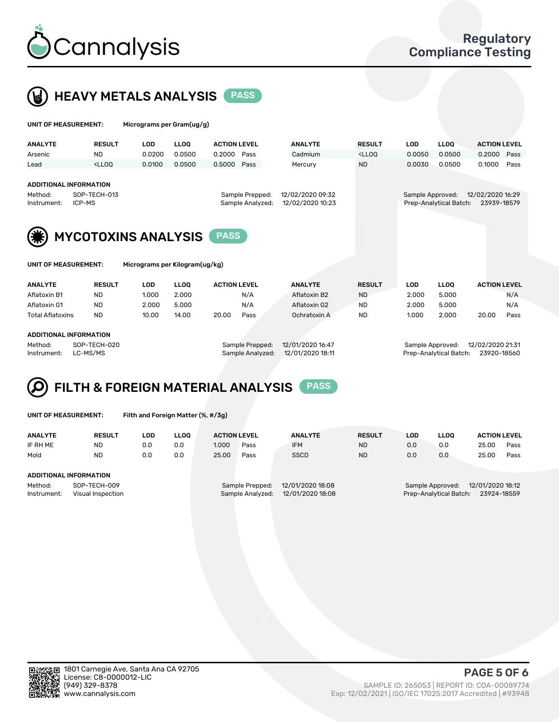



| UNIT OF MEASUREMENT:                             |                                                                                                                                                                             | Micrograms per Gram(ug/g) |             |                     |                                     |                                      |                                                                                 |                  |                        |                                 |      |
|--------------------------------------------------|-----------------------------------------------------------------------------------------------------------------------------------------------------------------------------|---------------------------|-------------|---------------------|-------------------------------------|--------------------------------------|---------------------------------------------------------------------------------|------------------|------------------------|---------------------------------|------|
| <b>ANALYTE</b>                                   | <b>RESULT</b>                                                                                                                                                               | <b>LOD</b>                | <b>LLOO</b> | <b>ACTION LEVEL</b> |                                     | <b>ANALYTE</b>                       | <b>RESULT</b>                                                                   | <b>LOD</b>       | <b>LLOO</b>            | <b>ACTION LEVEL</b>             |      |
| Arsenic                                          | <b>ND</b>                                                                                                                                                                   | 0.0200                    | 0.0500      | 0.2000              | Pass                                | Cadmium                              | <lloo< td=""><td>0.0050</td><td>0.0500</td><td>0.2000</td><td>Pass</td></lloo<> | 0.0050           | 0.0500                 | 0.2000                          | Pass |
| Lead                                             | <lloo< td=""><td>0.0100</td><td>0.0500</td><td>0.5000</td><td>Pass</td><td>Mercury</td><td><b>ND</b></td><td>0.0030</td><td>0.0500</td><td>0.1000</td><td>Pass</td></lloo<> | 0.0100                    | 0.0500      | 0.5000              | Pass                                | Mercury                              | <b>ND</b>                                                                       | 0.0030           | 0.0500                 | 0.1000                          | Pass |
| ADDITIONAL INFORMATION<br>Method:<br>Instrument: | SOP-TECH-013<br>ICP-MS                                                                                                                                                      |                           |             |                     | Sample Prepped:<br>Sample Analyzed: | 12/02/2020 09:32<br>12/02/2020 10:23 |                                                                                 | Sample Approved: | Prep-Analytical Batch: | 12/02/2020 16:29<br>23939-18579 |      |
| (类)                                              | <b>MYCOTOXINS ANALYSIS</b>                                                                                                                                                  |                           |             |                     |                                     |                                      |                                                                                 |                  |                        |                                 |      |

| UNIT OF MEASUREMENT: |  |
|----------------------|--|
|----------------------|--|

Micrograms per Kilogram(ug/kg)

| <b>ANALYTE</b>          | <b>RESULT</b> | LOD   | <b>LLOO</b> | <b>ACTION LEVEL</b> |      | <b>ANALYTE</b> | <b>RESULT</b> | LOD   | <b>LLOO</b> | <b>ACTION LEVEL</b> |      |
|-------------------------|---------------|-------|-------------|---------------------|------|----------------|---------------|-------|-------------|---------------------|------|
| Aflatoxin B1            | <b>ND</b>     | 1.000 | 2.000       |                     | N/A  | Aflatoxin B2   | <b>ND</b>     | 2.000 | 5.000       |                     | N/A  |
| Aflatoxin G1            | <b>ND</b>     | 2.000 | 5.000       |                     | N/A  | Aflatoxin G2   | <b>ND</b>     | 2.000 | 5.000       |                     | N/A  |
| <b>Total Aflatoxins</b> | <b>ND</b>     | 10.00 | 14.00       | 20.00               | Pass | Ochratoxin A   | <b>ND</b>     | 1.000 | 2.000       | 20.00               | Pass |
|                         |               |       |             |                     |      |                |               |       |             |                     |      |

#### ADDITIONAL INFORMATION

Method: SOP-TECH-020 Sample Prepped: 12/01/2020 16:47 Sample Approved: 12/02/2020 21:31 Instrument: LC-MS/MS Sample Analyzed: 12/01/2020 18:11 Prep-Analytical Batch: 23920-18560

## FILTH & FOREIGN MATERIAL ANALYSIS PASS

UNIT OF MEASUREMENT: Filth and Foreign Matter (%, #/3g)

| <b>ANALYTE</b>                                              | <b>RESULT</b> | LOD | <b>LLOO</b> | <b>ACTION LEVEL</b> |                                     | <b>ANALYTE</b>                       | <b>RESULT</b> | LOD | LLOO                                       | <b>ACTION LEVEL</b>             |      |
|-------------------------------------------------------------|---------------|-----|-------------|---------------------|-------------------------------------|--------------------------------------|---------------|-----|--------------------------------------------|---------------------------------|------|
| IF RH ME                                                    | <b>ND</b>     | 0.0 | 0.0         | 1.000               | Pass                                | <b>IFM</b>                           | <b>ND</b>     | 0.0 | 0.0                                        | 25.00                           | Pass |
| Mold                                                        | <b>ND</b>     | 0.0 | 0.0         | 25.00               | Pass                                | <b>SSCD</b>                          | <b>ND</b>     | 0.0 | 0.0                                        | 25.00                           | Pass |
| ADDITIONAL INFORMATION                                      |               |     |             |                     |                                     |                                      |               |     |                                            |                                 |      |
| SOP-TECH-009<br>Method:<br>Instrument:<br>Visual Inspection |               |     |             |                     | Sample Prepped:<br>Sample Analyzed: | 12/01/2020 18:08<br>12/01/2020 18:08 |               |     | Sample Approved:<br>Prep-Analytical Batch: | 12/01/2020 18:12<br>23924-18559 |      |



PAGE 5 OF 6